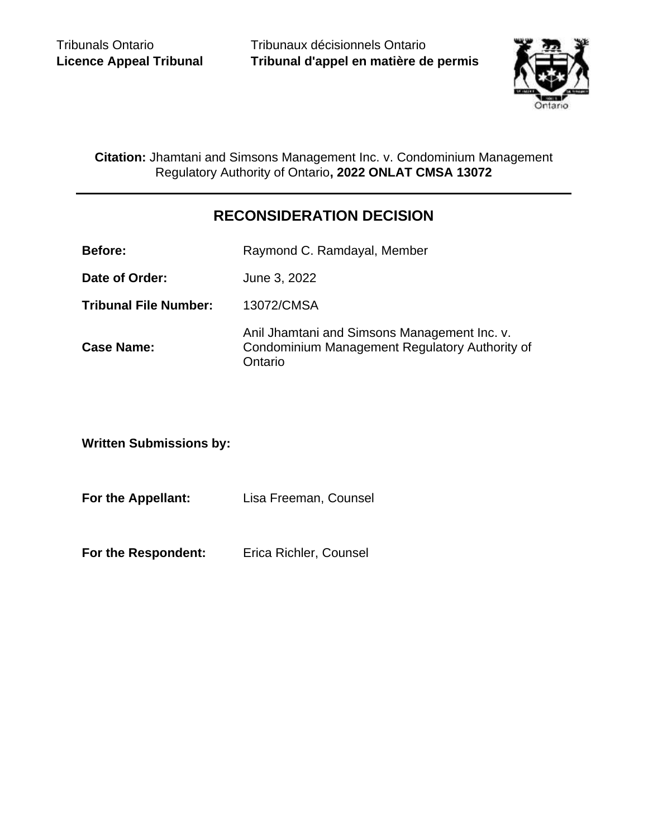Tribunaux décisionnels Ontario **Tribunal d'appel en matière de permis**



**Citation:** Jhamtani and Simsons Management Inc. v. Condominium Management Regulatory Authority of Ontario**, 2022 ONLAT CMSA 13072**

# **RECONSIDERATION DECISION**

**Before:** Raymond C. Ramdayal, Member

**Date of Order:** June 3, 2022

**Tribunal File Number:** 13072/CMSA

**Case Name:** Anil Jhamtani and Simsons Management Inc. v. Condominium Management Regulatory Authority of **Ontario** 

**Written Submissions by:**

**For the Appellant:** Lisa Freeman, Counsel

**For the Respondent:** Erica Richler, Counsel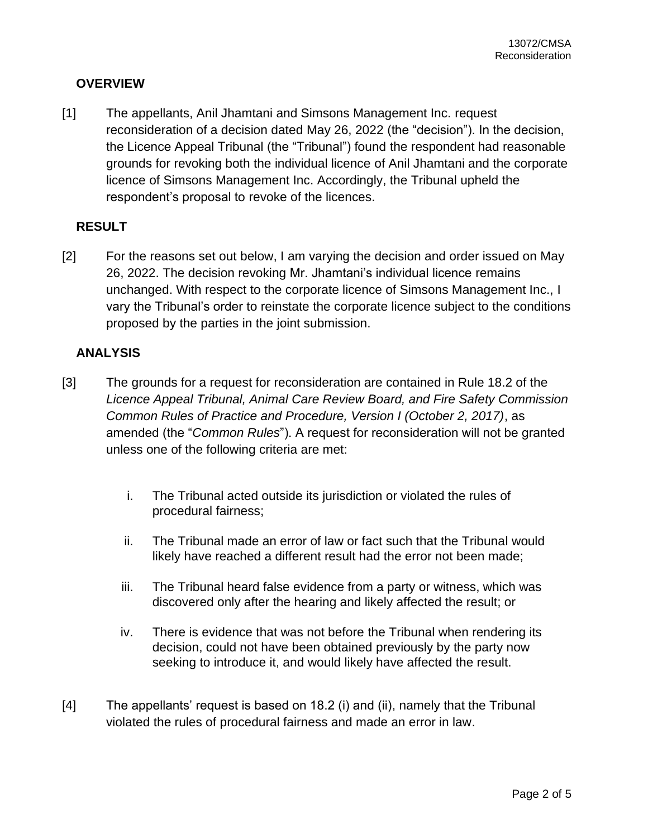### **OVERVIEW**

[1] The appellants, Anil Jhamtani and Simsons Management Inc. request reconsideration of a decision dated May 26, 2022 (the "decision"). In the decision, the Licence Appeal Tribunal (the "Tribunal") found the respondent had reasonable grounds for revoking both the individual licence of Anil Jhamtani and the corporate licence of Simsons Management Inc. Accordingly, the Tribunal upheld the respondent's proposal to revoke of the licences.

### **RESULT**

[2] For the reasons set out below, I am varying the decision and order issued on May 26, 2022. The decision revoking Mr. Jhamtani's individual licence remains unchanged. With respect to the corporate licence of Simsons Management Inc., I vary the Tribunal's order to reinstate the corporate licence subject to the conditions proposed by the parties in the joint submission.

#### **ANALYSIS**

- [3] The grounds for a request for reconsideration are contained in Rule 18.2 of the *Licence Appeal Tribunal, Animal Care Review Board, and Fire Safety Commission Common Rules of Practice and Procedure, Version I (October 2, 2017)*, as amended (the "*Common Rules*"). A request for reconsideration will not be granted unless one of the following criteria are met:
	- i. The Tribunal acted outside its jurisdiction or violated the rules of procedural fairness;
	- ii. The Tribunal made an error of law or fact such that the Tribunal would likely have reached a different result had the error not been made;
	- iii. The Tribunal heard false evidence from a party or witness, which was discovered only after the hearing and likely affected the result; or
	- iv. There is evidence that was not before the Tribunal when rendering its decision, could not have been obtained previously by the party now seeking to introduce it, and would likely have affected the result.
- [4] The appellants' request is based on 18.2 (i) and (ii), namely that the Tribunal violated the rules of procedural fairness and made an error in law.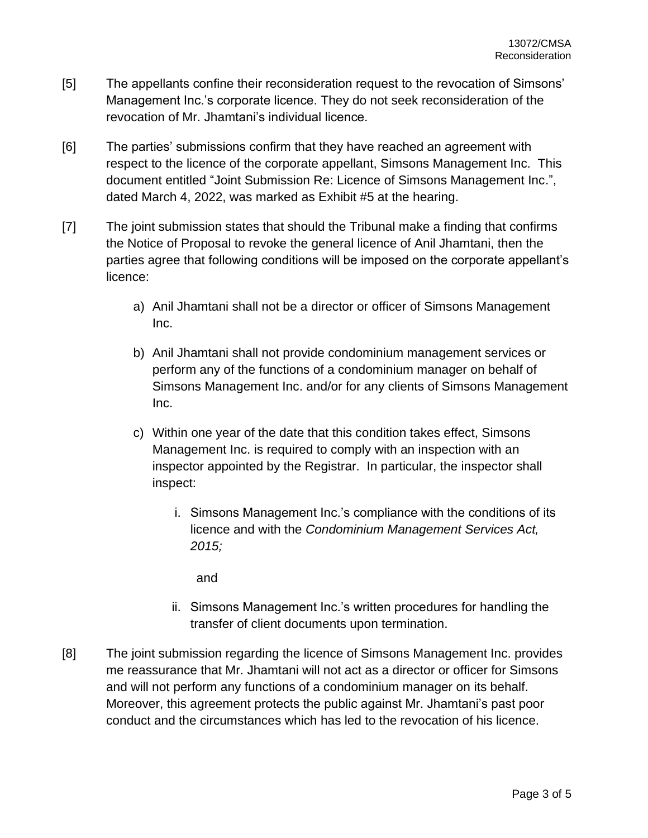- [5] The appellants confine their reconsideration request to the revocation of Simsons' Management Inc.'s corporate licence. They do not seek reconsideration of the revocation of Mr. Jhamtani's individual licence.
- [6] The parties' submissions confirm that they have reached an agreement with respect to the licence of the corporate appellant, Simsons Management Inc. This document entitled "Joint Submission Re: Licence of Simsons Management Inc.", dated March 4, 2022, was marked as Exhibit #5 at the hearing.
- [7] The joint submission states that should the Tribunal make a finding that confirms the Notice of Proposal to revoke the general licence of Anil Jhamtani, then the parties agree that following conditions will be imposed on the corporate appellant's licence:
	- a) Anil Jhamtani shall not be a director or officer of Simsons Management Inc.
	- b) Anil Jhamtani shall not provide condominium management services or perform any of the functions of a condominium manager on behalf of Simsons Management Inc. and/or for any clients of Simsons Management Inc.
	- c) Within one year of the date that this condition takes effect, Simsons Management Inc. is required to comply with an inspection with an inspector appointed by the Registrar. In particular, the inspector shall inspect:
		- i. Simsons Management Inc.'s compliance with the conditions of its licence and with the *Condominium Management Services Act, 2015;*

and

- ii. Simsons Management Inc.'s written procedures for handling the transfer of client documents upon termination.
- [8] The joint submission regarding the licence of Simsons Management Inc. provides me reassurance that Mr. Jhamtani will not act as a director or officer for Simsons and will not perform any functions of a condominium manager on its behalf. Moreover, this agreement protects the public against Mr. Jhamtani's past poor conduct and the circumstances which has led to the revocation of his licence.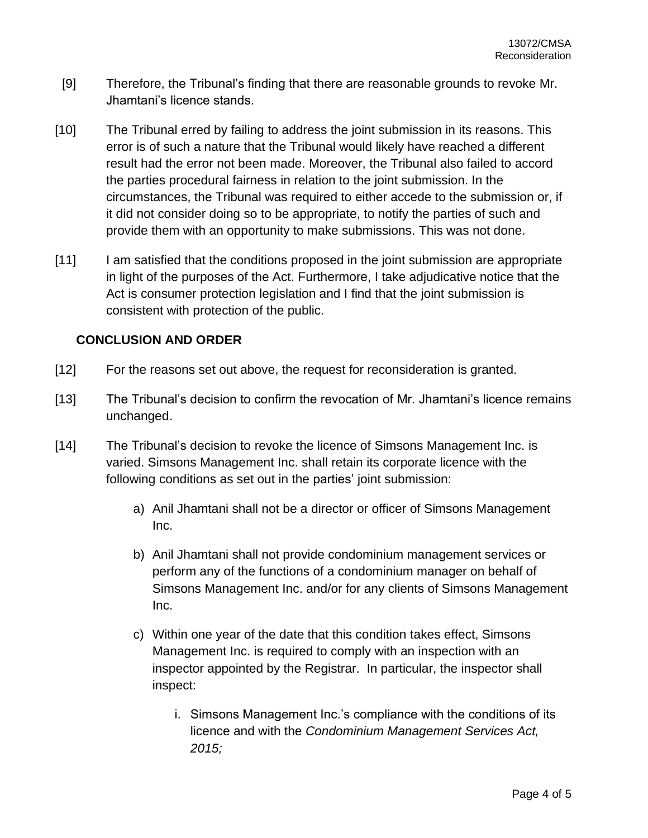- [9] Therefore, the Tribunal's finding that there are reasonable grounds to revoke Mr. Jhamtani's licence stands.
- [10] The Tribunal erred by failing to address the joint submission in its reasons. This error is of such a nature that the Tribunal would likely have reached a different result had the error not been made. Moreover, the Tribunal also failed to accord the parties procedural fairness in relation to the joint submission. In the circumstances, the Tribunal was required to either accede to the submission or, if it did not consider doing so to be appropriate, to notify the parties of such and provide them with an opportunity to make submissions. This was not done.
- [11] I am satisfied that the conditions proposed in the joint submission are appropriate in light of the purposes of the Act. Furthermore, I take adjudicative notice that the Act is consumer protection legislation and I find that the joint submission is consistent with protection of the public.

## **CONCLUSION AND ORDER**

- [12] For the reasons set out above, the request for reconsideration is granted.
- [13] The Tribunal's decision to confirm the revocation of Mr. Jhamtani's licence remains unchanged.
- [14] The Tribunal's decision to revoke the licence of Simsons Management Inc. is varied. Simsons Management Inc. shall retain its corporate licence with the following conditions as set out in the parties' joint submission:
	- a) Anil Jhamtani shall not be a director or officer of Simsons Management Inc.
	- b) Anil Jhamtani shall not provide condominium management services or perform any of the functions of a condominium manager on behalf of Simsons Management Inc. and/or for any clients of Simsons Management Inc.
	- c) Within one year of the date that this condition takes effect, Simsons Management Inc. is required to comply with an inspection with an inspector appointed by the Registrar. In particular, the inspector shall inspect:
		- i. Simsons Management Inc.'s compliance with the conditions of its licence and with the *Condominium Management Services Act, 2015;*